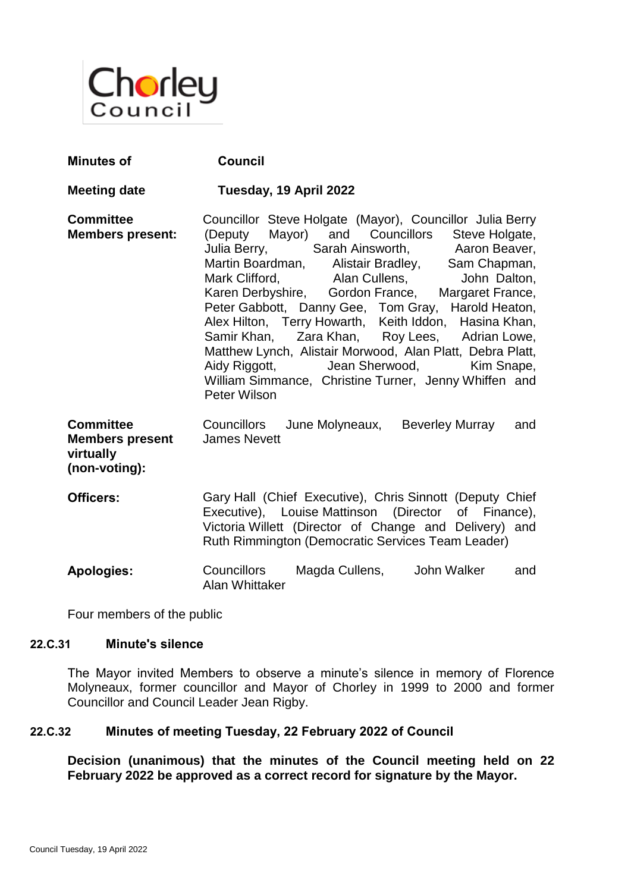

| <b>Minutes of</b>                                                        | <b>Council</b>                                                                                                                                                                                                                                                                                                                                                                                                                                                                                                                                                                                                                                                    |
|--------------------------------------------------------------------------|-------------------------------------------------------------------------------------------------------------------------------------------------------------------------------------------------------------------------------------------------------------------------------------------------------------------------------------------------------------------------------------------------------------------------------------------------------------------------------------------------------------------------------------------------------------------------------------------------------------------------------------------------------------------|
| <b>Meeting date</b>                                                      | Tuesday, 19 April 2022                                                                                                                                                                                                                                                                                                                                                                                                                                                                                                                                                                                                                                            |
| <b>Committee</b><br><b>Members present:</b>                              | Councillor Steve Holgate (Mayor), Councillor Julia Berry<br>(Deputy Mayor) and Councillors Steve Holgate,<br>Julia Berry, Sarah Ainsworth, Aaron Beaver,<br>Martin Boardman, Alistair Bradley, Sam Chapman,<br>Mark Clifford, Alan Cullens, John Dalton,<br>Karen Derbyshire, Gordon France, Margaret France,<br>Peter Gabbott, Danny Gee, Tom Gray, Harold Heaton,<br>Alex Hilton, Terry Howarth, Keith Iddon, Hasina Khan,<br>Samir Khan, Zara Khan, Roy Lees, Adrian Lowe,<br>Matthew Lynch, Alistair Morwood, Alan Platt, Debra Platt,<br>Jean Sherwood, Kim Snape,<br>Aidy Riggott,<br>William Simmance, Christine Turner, Jenny Whiffen and<br>Peter Wilson |
| <b>Committee</b><br><b>Members present</b><br>virtually<br>(non-voting): | Councillors June Molyneaux, Beverley Murray<br>and<br><b>James Nevett</b>                                                                                                                                                                                                                                                                                                                                                                                                                                                                                                                                                                                         |
| Officers:                                                                | Gary Hall (Chief Executive), Chris Sinnott (Deputy Chief<br>Executive), Louise Mattinson (Director of Finance),<br>Victoria Willett (Director of Change and Delivery) and<br>Ruth Rimmington (Democratic Services Team Leader)                                                                                                                                                                                                                                                                                                                                                                                                                                    |
| <b>Apologies:</b>                                                        | Magda Cullens, John Walker<br>Councillors<br>and<br>Alan Whittaker                                                                                                                                                                                                                                                                                                                                                                                                                                                                                                                                                                                                |

Four members of the public

# **22.C.31 Minute's silence**

The Mayor invited Members to observe a minute's silence in memory of Florence Molyneaux, former councillor and Mayor of Chorley in 1999 to 2000 and former Councillor and Council Leader Jean Rigby.

# **22.C.32 Minutes of meeting Tuesday, 22 February 2022 of Council**

**Decision (unanimous) that the minutes of the Council meeting held on 22 February 2022 be approved as a correct record for signature by the Mayor.**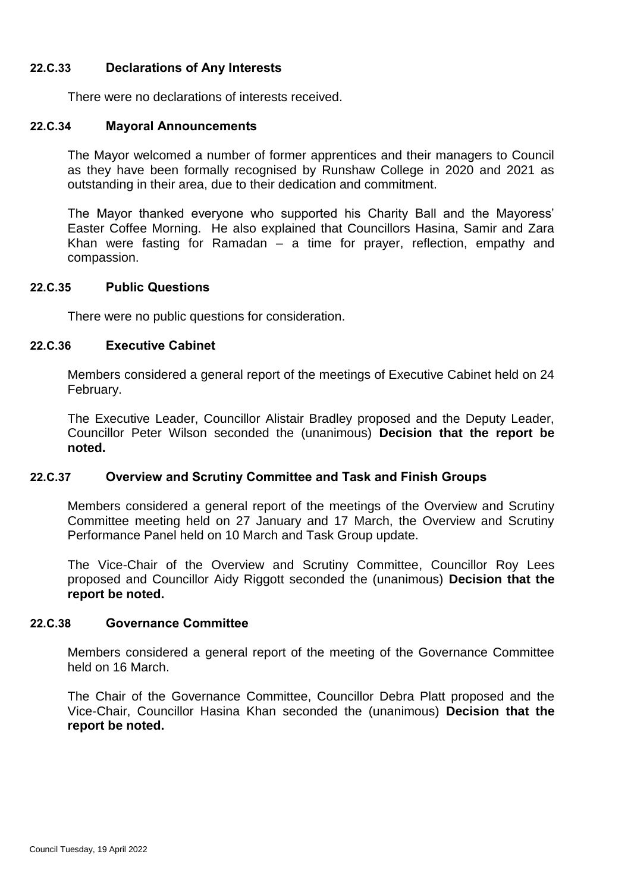### **22.C.33 Declarations of Any Interests**

There were no declarations of interests received.

### **22.C.34 Mayoral Announcements**

The Mayor welcomed a number of former apprentices and their managers to Council as they have been formally recognised by Runshaw College in 2020 and 2021 as outstanding in their area, due to their dedication and commitment.

The Mayor thanked everyone who supported his Charity Ball and the Mayoress' Easter Coffee Morning. He also explained that Councillors Hasina, Samir and Zara Khan were fasting for Ramadan – a time for prayer, reflection, empathy and compassion.

#### **22.C.35 Public Questions**

There were no public questions for consideration.

### **22.C.36 Executive Cabinet**

Members considered a general report of the meetings of Executive Cabinet held on 24 February.

The Executive Leader, Councillor Alistair Bradley proposed and the Deputy Leader, Councillor Peter Wilson seconded the (unanimous) **Decision that the report be noted.**

### **22.C.37 Overview and Scrutiny Committee and Task and Finish Groups**

Members considered a general report of the meetings of the Overview and Scrutiny Committee meeting held on 27 January and 17 March, the Overview and Scrutiny Performance Panel held on 10 March and Task Group update.

The Vice-Chair of the Overview and Scrutiny Committee, Councillor Roy Lees proposed and Councillor Aidy Riggott seconded the (unanimous) **Decision that the report be noted.**

#### **22.C.38 Governance Committee**

Members considered a general report of the meeting of the Governance Committee held on 16 March.

The Chair of the Governance Committee, Councillor Debra Platt proposed and the Vice-Chair, Councillor Hasina Khan seconded the (unanimous) **Decision that the report be noted.**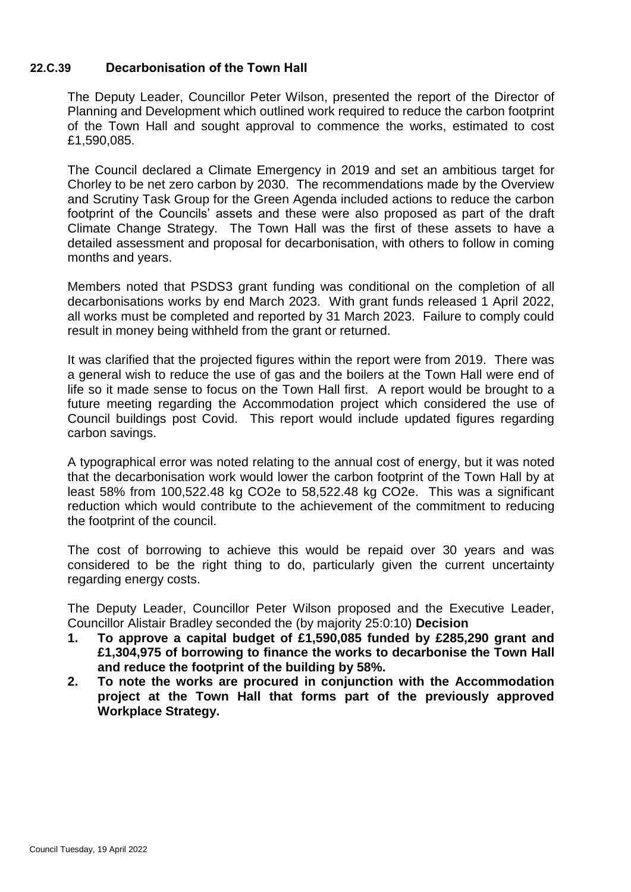## **22.C.39 Decarbonisation of the Town Hall**

The Deputy Leader, Councillor Peter Wilson, presented the report of the Director of Planning and Development which outlined work required to reduce the carbon footprint of the Town Hall and sought approval to commence the works, estimated to cost £1,590,085.

The Council declared a Climate Emergency in 2019 and set an ambitious target for Chorley to be net zero carbon by 2030. The recommendations made by the Overview and Scrutiny Task Group for the Green Agenda included actions to reduce the carbon footprint of the Councils' assets and these were also proposed as part of the draft Climate Change Strategy. The Town Hall was the first of these assets to have a detailed assessment and proposal for decarbonisation, with others to follow in coming months and years.

Members noted that PSDS3 grant funding was conditional on the completion of all decarbonisations works by end March 2023. With grant funds released 1 April 2022, all works must be completed and reported by 31 March 2023. Failure to comply could result in money being withheld from the grant or returned.

It was clarified that the projected figures within the report were from 2019. There was a general wish to reduce the use of gas and the boilers at the Town Hall were end of life so it made sense to focus on the Town Hall first. A report would be brought to a future meeting regarding the Accommodation project which considered the use of Council buildings post Covid. This report would include updated figures regarding carbon savings.

A typographical error was noted relating to the annual cost of energy, but it was noted that the decarbonisation work would lower the carbon footprint of the Town Hall by at least 58% from 100,522.48 kg CO2e to 58,522.48 kg CO2e. This was a significant reduction which would contribute to the achievement of the commitment to reducing the footprint of the council.

The cost of borrowing to achieve this would be repaid over 30 years and was considered to be the right thing to do, particularly given the current uncertainty regarding energy costs.

The Deputy Leader, Councillor Peter Wilson proposed and the Executive Leader, Councillor Alistair Bradley seconded the (by majority 25:0:10) **Decision**

- **1. To approve a capital budget of £1,590,085 funded by £285,290 grant and £1,304,975 of borrowing to finance the works to decarbonise the Town Hall and reduce the footprint of the building by 58%.**
- **2. To note the works are procured in conjunction with the Accommodation project at the Town Hall that forms part of the previously approved Workplace Strategy.**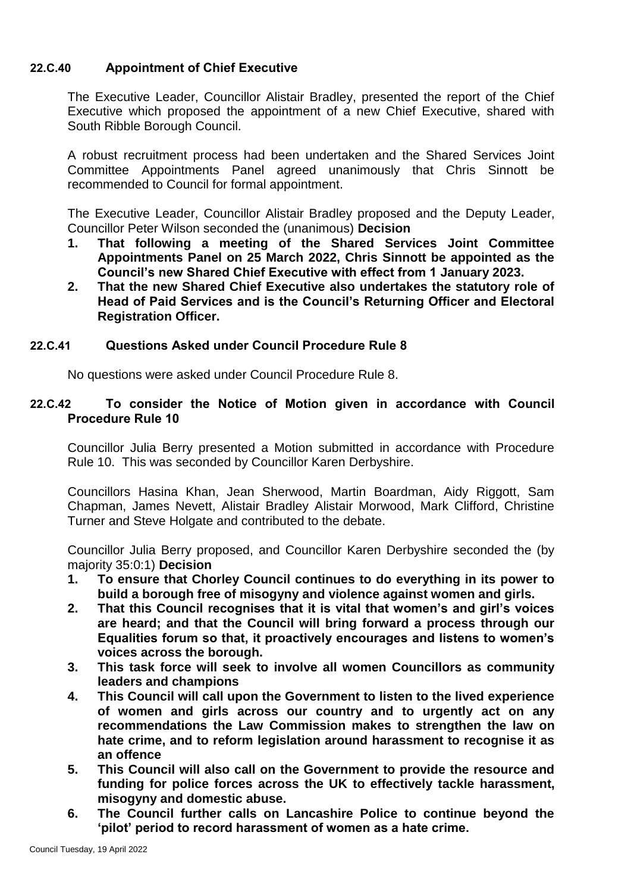# **22.C.40 Appointment of Chief Executive**

The Executive Leader, Councillor Alistair Bradley, presented the report of the Chief Executive which proposed the appointment of a new Chief Executive, shared with South Ribble Borough Council.

A robust recruitment process had been undertaken and the Shared Services Joint Committee Appointments Panel agreed unanimously that Chris Sinnott be recommended to Council for formal appointment.

The Executive Leader, Councillor Alistair Bradley proposed and the Deputy Leader, Councillor Peter Wilson seconded the (unanimous) **Decision** 

- **1. That following a meeting of the Shared Services Joint Committee Appointments Panel on 25 March 2022, Chris Sinnott be appointed as the Council's new Shared Chief Executive with effect from 1 January 2023.**
- **2. That the new Shared Chief Executive also undertakes the statutory role of Head of Paid Services and is the Council's Returning Officer and Electoral Registration Officer.**

### **22.C.41 Questions Asked under Council Procedure Rule 8**

No questions were asked under Council Procedure Rule 8.

## **22.C.42 To consider the Notice of Motion given in accordance with Council Procedure Rule 10**

Councillor Julia Berry presented a Motion submitted in accordance with Procedure Rule 10. This was seconded by Councillor Karen Derbyshire.

Councillors Hasina Khan, Jean Sherwood, Martin Boardman, Aidy Riggott, Sam Chapman, James Nevett, Alistair Bradley Alistair Morwood, Mark Clifford, Christine Turner and Steve Holgate and contributed to the debate.

Councillor Julia Berry proposed, and Councillor Karen Derbyshire seconded the (by majority 35:0:1) **Decision** 

- **1. To ensure that Chorley Council continues to do everything in its power to build a borough free of misogyny and violence against women and girls.**
- **2. That this Council recognises that it is vital that women's and girl's voices are heard; and that the Council will bring forward a process through our Equalities forum so that, it proactively encourages and listens to women's voices across the borough.**
- **3. This task force will seek to involve all women Councillors as community leaders and champions**
- **4. This Council will call upon the Government to listen to the lived experience of women and girls across our country and to urgently act on any recommendations the Law Commission makes to strengthen the law on hate crime, and to reform legislation around harassment to recognise it as an offence**
- **5. This Council will also call on the Government to provide the resource and funding for police forces across the UK to effectively tackle harassment, misogyny and domestic abuse.**
- **6. The Council further calls on Lancashire Police to continue beyond the 'pilot' period to record harassment of women as a hate crime.**